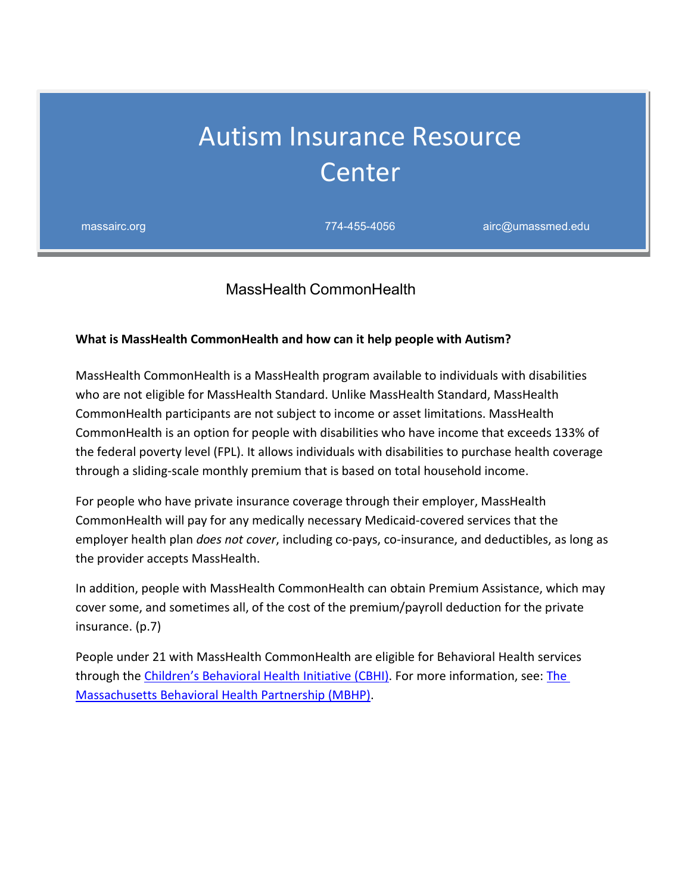# Autism Insurance Resource Center

massairc.org 774-455-4056 airc@umassmed.edu

## MassHealth CommonHealth

#### **What is MassHealth CommonHealth and how can it help people with Autism?**

MassHealth CommonHealth is a MassHealth program available to individuals with disabilities who are not eligible for MassHealth Standard. Unlike MassHealth Standard, MassHealth CommonHealth participants are not subject to income or asset limitations. MassHealth CommonHealth is an option for people with disabilities who have income that exceeds 133% of the federal poverty level (FPL). It allows individuals with disabilities to purchase health coverage through a sliding-scale monthly premium that is based on total household income.

For people who have private insurance coverage through their employer, MassHealth CommonHealth will pay for any medically necessary Medicaid-covered services that the employer health plan *does not cover*, including co-pays, co-insurance, and deductibles, as long as the provider accepts MassHealth.

In addition, people with MassHealth CommonHealth can obtain Premium Assistance, which may cover some, and sometimes all, of the cost of the premium/payroll deduction for the private insurance. (p.7)

People under 21 with MassHealth CommonHealth are eligible for Behavioral Health services through the [Children's Behavioral Health Initiative \(CBHI\).](https://www.mass.gov/masshealth-childrens-behavioral-health-initiative) For more information, see: The [Massachusetts Behavioral Health Partnership \(MBHP\).](http://www.masspartnership.com/)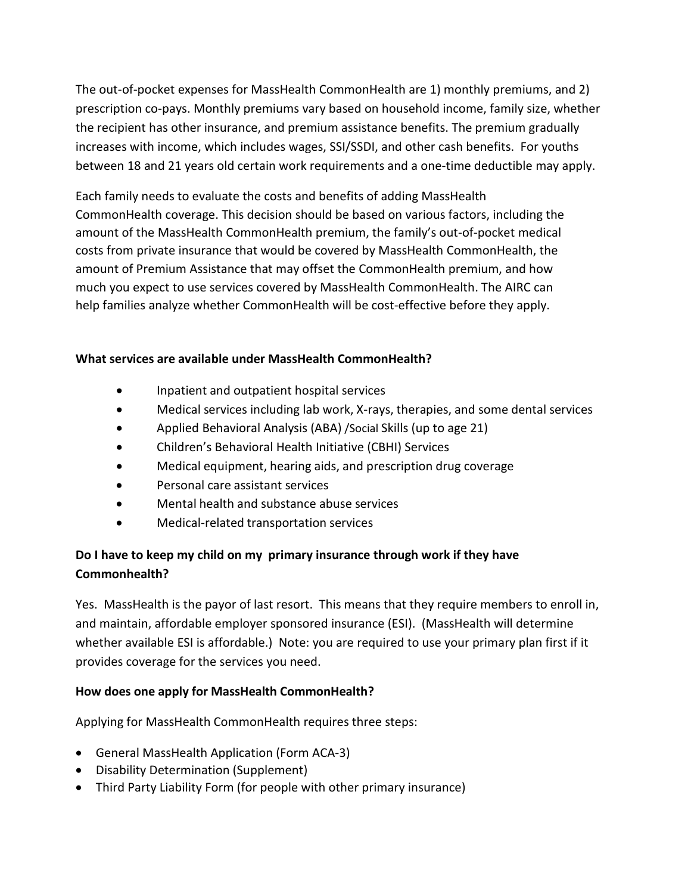The out-of-pocket expenses for MassHealth CommonHealth are 1) monthly premiums, and 2) prescription co-pays. Monthly premiums vary based on household income, family size, whether the recipient has other insurance, and premium assistance benefits. The premium gradually increases with income, which includes wages, SSI/SSDI, and other cash benefits. For youths between 18 and 21 years old certain work requirements and a one-time deductible may apply.

Each family needs to evaluate the costs and benefits of adding MassHealth CommonHealth coverage. This decision should be based on various factors, including the amount of the MassHealth CommonHealth premium, the family's out-of-pocket medical costs from private insurance that would be covered by MassHealth CommonHealth, the amount of Premium Assistance that may offset the CommonHealth premium, and how much you expect to use services covered by MassHealth CommonHealth. The AIRC can help families analyze whether CommonHealth will be cost-effective before they apply.

## **What services are available under MassHealth CommonHealth?**

- Inpatient and outpatient hospital services
- Medical services including lab work, X-rays, therapies, and some dental services
- Applied Behavioral Analysis (ABA) /Social Skills (up to age 21)
- Children's Behavioral Health Initiative (CBHI) Services
- Medical equipment, hearing aids, and prescription drug coverage
- Personal care assistant services
- Mental health and substance abuse services
- Medical-related transportation services

# **Do I have to keep my child on my primary insurance through work if they have Commonhealth?**

Yes. MassHealth is the payor of last resort. This means that they require members to enroll in, and maintain, affordable employer sponsored insurance (ESI). (MassHealth will determine whether available ESI is affordable.) Note: you are required to use your primary plan first if it provides coverage for the services you need.

#### **How does one apply for MassHealth CommonHealth?**

Applying for MassHealth CommonHealth requires three steps:

- General MassHealth Application (Form ACA-3)
- Disability Determination (Supplement)
- Third Party Liability Form (for people with other primary insurance)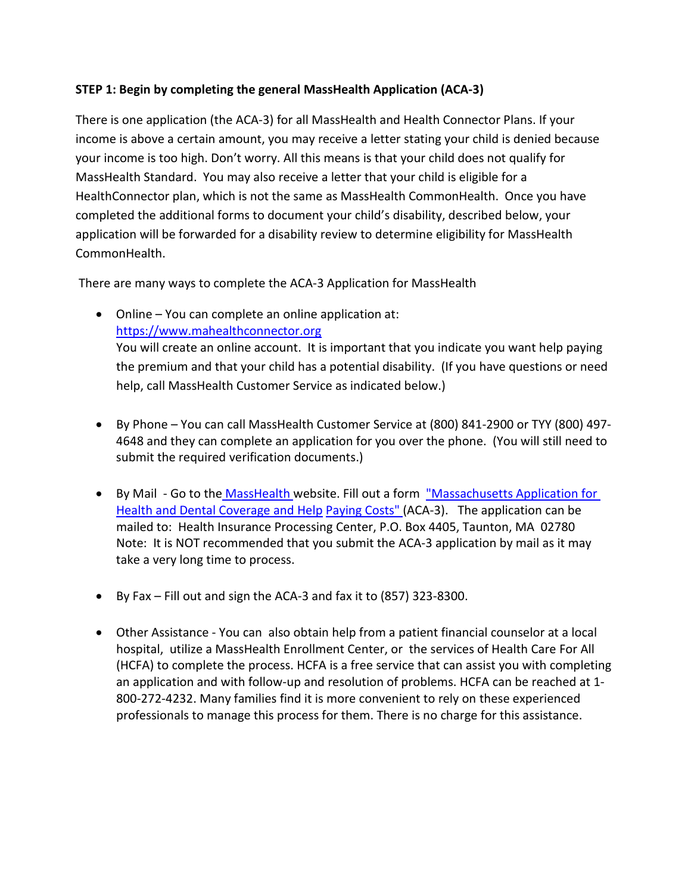#### **STEP 1: Begin by completing the general MassHealth Application (ACA-3)**

There is one application (the ACA-3) for all MassHealth and Health Connector Plans. If your income is above a certain amount, you may receive a letter stating your child is denied because your income is too high. Don't worry. All this means is that your child does not qualify for MassHealth Standard. You may also receive a letter that your child is eligible for a HealthConnector plan, which is not the same as MassHealth CommonHealth. Once you have completed the additional forms to document your child's disability, described below, your application will be forwarded for a disability review to determine eligibility for MassHealth CommonHealth.

There are many ways to complete the ACA-3 Application for MassHealth

- Online You can complete an online application at: [https://www.mahealthconnector.org](https://www.mahealthconnector.org/)  You will create an online account. It is important that you indicate you want help paying the premium and that your child has a potential disability. (If you have questions or need help, call MassHealth Customer Service as indicated below.)
- By Phone You can call MassHealth Customer Service at (800) 841-2900 or TYY (800) 497- 4648 and they can complete an application for you over the phone. (You will still need to submit the required verification documents.)
- By Mail Go to the [MassHealth w](http://www.mass.gov/eohhs/gov/departments/masshealth/)ebsite. Fill out a form "Massachusetts Application for [Health and Dental Coverage and Help](https://www.mass.gov/doc/massachusetts-application-for-health-and-dental-coverage-and-help-paying-costs-0/download) [Paying Costs" \(](https://www.mass.gov/lists/masshealth-member-applications%23massachusetts-application-for-health-and-dental-coverage-and-help-paying-costs-%5Baca-3-(10/18)%5D-)ACA-3). The application can be mailed to: Health Insurance Processing Center, P.O. Box 4405, Taunton, MA 02780 Note: It is NOT recommended that you submit the ACA-3 application by mail as it may take a very long time to process.
- By Fax Fill out and sign the ACA-3 and fax it to (857) 323-8300.
- Other Assistance You can also obtain help from a patient financial counselor at a local hospital, utilize a MassHealth Enrollment Center, or the services of Health Care For All (HCFA) to complete the process. HCFA is a free service that can assist you with completing an application and with follow-up and resolution of problems. HCFA can be reached at 1- 800-272-4232. Many families find it is more convenient to rely on these experienced professionals to manage this process for them. There is no charge for this assistance.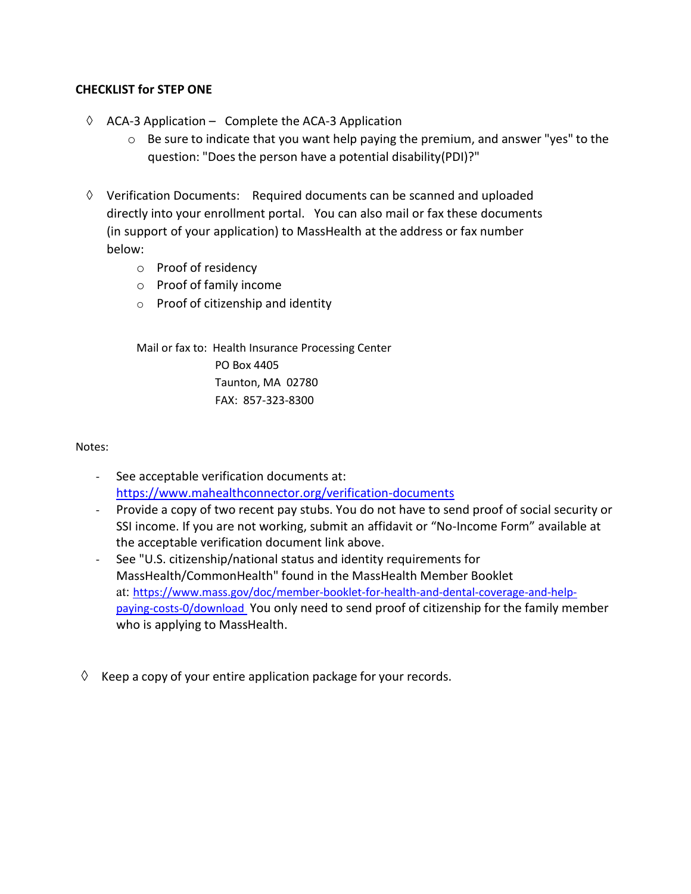#### **CHECKLIST for STEP ONE**

- ◊ ACA-3 Application Complete the ACA-3 Application
	- $\circ$  Be sure to indicate that you want help paying the premium, and answer "yes" to the question: "Doesthe person have a potential disability(PDI)?"
- ◊ Verification Documents: Required documents can be scanned and uploaded directly into your enrollment portal. You can also mail or fax these documents (in support of your application) to MassHealth at the address or fax number below:
	- o Proof of residency
	- o Proof of family income
	- o Proof of citizenship and identity

Mail or fax to: Health Insurance Processing Center PO Box 4405 Taunton, MA 02780 FAX: 857-323-8300

#### Notes:

- See acceptable verification documents at: <https://www.mahealthconnector.org/verification-documents>
- Provide a copy of two recent pay stubs. You do not have to send proof of social security or SSI income. If you are not working, submit an affidavit or "No-Income Form" available at the acceptable verification document link above.
- See "U.S. citizenship/national status and identity requirements for MassHealth/CommonHealth" found in the MassHealth Member Booklet at: [https://www.mass.gov/doc/member-booklet-for-health-and-dental-coverage-and-help](https://www.mass.gov/doc/member-booklet-for-health-and-dental-coverage-and-help-paying-costs-0/download)[paying-costs-0/download](https://www.mass.gov/doc/member-booklet-for-health-and-dental-coverage-and-help-paying-costs-0/download) You only need to send proof of citizenship for the family member who is applying to MassHealth.
- $\Diamond$  Keep a copy of your entire application package for your records.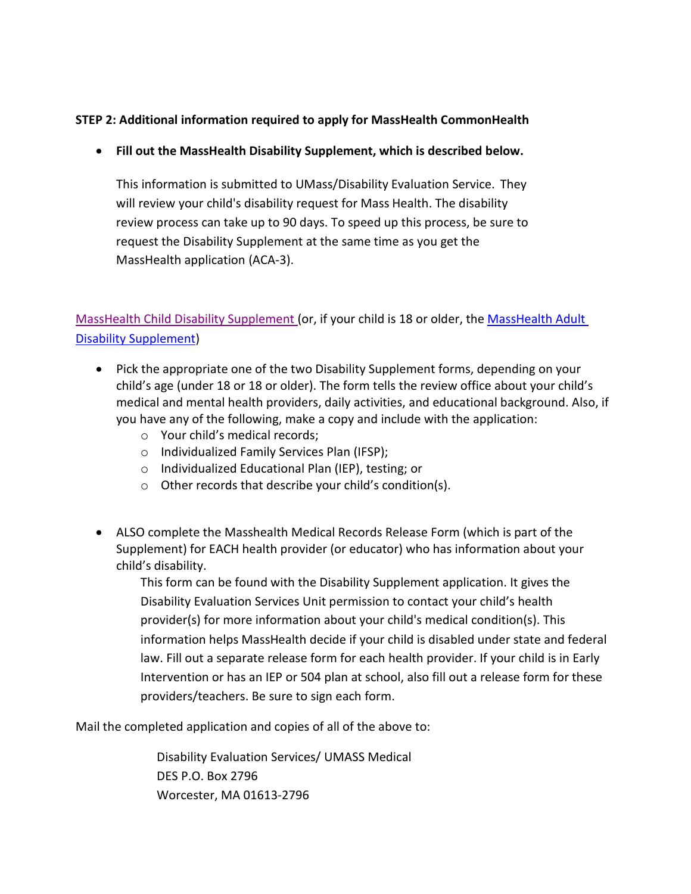## **STEP 2: Additional information required to apply for MassHealth CommonHealth**

#### • **Fill out the MassHealth Disability Supplement, which is described below.**

This information is submitted to UMass/Disability Evaluation Service. They will review your child's disability request for Mass Health. The disability review process can take up to 90 days. To speed up this process, be sure to request the Disability Supplement at the same time as you get the MassHealth application (ACA-3).

[MassHealth Child Disability Supplement \(](https://nam10.safelinks.protection.outlook.com/?url=https%3A%2F%2Fwww.mass.gov%2Fdoc%2Fmasshealth-child-disability-supplement-english%2Fdownload&data=04%7C01%7CLisa.Crouser%40umassmed.edu%7Cba5cfff4e31c4b6eb7c308d951d221df%7Cee9155fe2da34378a6c44405faf57b2e%7C0%7C0%7C637630785212657489%7CUnknown%7CTWFpbGZsb3d8eyJWIjoiMC4wLjAwMDAiLCJQIjoiV2luMzIiLCJBTiI6Ik1haWwiLCJXVCI6Mn0%3D%7C1000&sdata=1%2BzUeaLLLN7W8XpqUKzc7dVIg24MPa3TIkT%2FzUn%2BZ30%3D&reserved=0)or, if your child is 18 or older, the [MassHealth Adult](https://nam10.safelinks.protection.outlook.com/?url=https%3A%2F%2Fwww.mass.gov%2Fdoc%2Fmasshealth-adult-disability-supplement-english-0%2Fdownload&data=04%7C01%7CLisa.Crouser%40umassmed.edu%7Cba5cfff4e31c4b6eb7c308d951d221df%7Cee9155fe2da34378a6c44405faf57b2e%7C0%7C0%7C637630785212667446%7CUnknown%7CTWFpbGZsb3d8eyJWIjoiMC4wLjAwMDAiLCJQIjoiV2luMzIiLCJBTiI6Ik1haWwiLCJXVCI6Mn0%3D%7C1000&sdata=cQ8sa2IEI%2FzNyBwnE9zNya7PvFT6SABPS5Ub0CbXapM%3D&reserved=0)  [Disability Supplement\)](https://nam10.safelinks.protection.outlook.com/?url=https%3A%2F%2Fwww.mass.gov%2Fdoc%2Fmasshealth-adult-disability-supplement-english-0%2Fdownload&data=04%7C01%7CLisa.Crouser%40umassmed.edu%7Cba5cfff4e31c4b6eb7c308d951d221df%7Cee9155fe2da34378a6c44405faf57b2e%7C0%7C0%7C637630785212667446%7CUnknown%7CTWFpbGZsb3d8eyJWIjoiMC4wLjAwMDAiLCJQIjoiV2luMzIiLCJBTiI6Ik1haWwiLCJXVCI6Mn0%3D%7C1000&sdata=cQ8sa2IEI%2FzNyBwnE9zNya7PvFT6SABPS5Ub0CbXapM%3D&reserved=0)

- Pick the appropriate one of the two Disability Supplement forms, depending on your child's age (under 18 or 18 or older). The form tells the review office about your child's medical and mental health providers, daily activities, and educational background. Also, if you have any of the following, make a copy and include with the application:
	- o Your child's medical records;
	- o Individualized Family Services Plan (IFSP);
	- o Individualized Educational Plan (IEP), testing; or
	- o Other records that describe your child's condition(s).
- ALSO complete the Masshealth Medical Records Release Form (which is part of the Supplement) for EACH health provider (or educator) who has information about your child's disability.

This form can be found with the Disability Supplement application. It gives the Disability Evaluation Services Unit permission to contact your child's health provider(s) for more information about your child's medical condition(s). This information helps MassHealth decide if your child is disabled under state and federal law. Fill out a separate release form for each health provider. If your child is in Early Intervention or has an IEP or 504 plan at school, also fill out a release form for these providers/teachers. Be sure to sign each form.

Mail the completed application and copies of all of the above to:

Disability Evaluation Services/ UMASS Medical DES P.O. Box 2796 Worcester, MA 01613-2796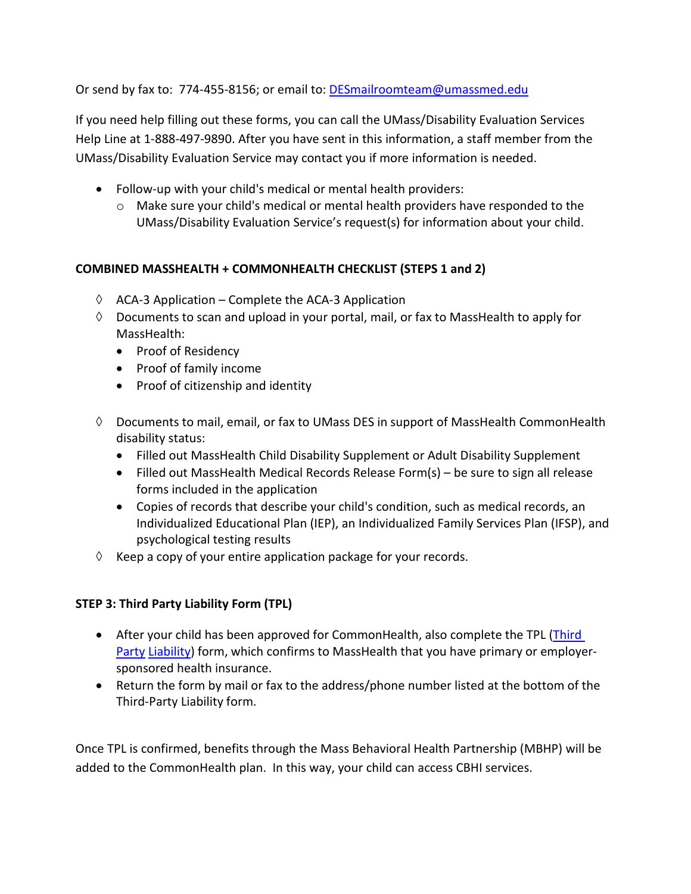Or send by fax to: 774-455-8156; or email to[: DESmailroomteam@umassmed.edu](mailto:DESmailroomteam@umassmed.edu)

If you need help filling out these forms, you can call the UMass/Disability Evaluation Services Help Line at 1-888-497-9890. After you have sent in this information, a staff member from the UMass/Disability Evaluation Service may contact you if more information is needed.

- Follow-up with your child's medical or mental health providers:
	- $\circ$  Make sure your child's medical or mental health providers have responded to the UMass/Disability Evaluation Service's request(s) for information about your child.

## **COMBINED MASSHEALTH + COMMONHEALTH CHECKLIST (STEPS 1 and 2)**

- $\Diamond$  ACA-3 Application Complete the ACA-3 Application
- $\Diamond$  Documents to scan and upload in your portal, mail, or fax to MassHealth to apply for MassHealth:
	- Proof of Residency
	- Proof of family income
	- Proof of citizenship and identity
- ◊ Documents to mail, email, or fax to UMass DES in support of MassHealth CommonHealth disability status:
	- Filled out MassHealth Child Disability Supplement or Adult Disability Supplement
	- Filled out MassHealth Medical Records Release Form(s) be sure to sign all release forms included in the application
	- Copies of records that describe your child's condition, such as medical records, an Individualized Educational Plan (IEP), an Individualized Family Services Plan (IFSP), and psychological testing results
- $\Diamond$  Keep a copy of your entire application package for your records.

## **STEP 3: Third Party Liability Form (TPL)**

- After your child has been approved for CommonHealth, also complete the TPL (Third [Party](https://www.mass.gov/doc/third-party-liability-indicator-tpli-mh/download) [Liability\)](http://www.mass.gov/eohhs/docs/masshealth/provider-services/forms/tpli.pdf) form, which confirms to MassHealth that you have primary or employersponsored health insurance.
- Return the form by mail or fax to the address/phone number listed at the bottom of the Third-Party Liability form.

Once TPL is confirmed, benefits through the Mass Behavioral Health Partnership (MBHP) will be added to the CommonHealth plan. In this way, your child can access CBHI services.